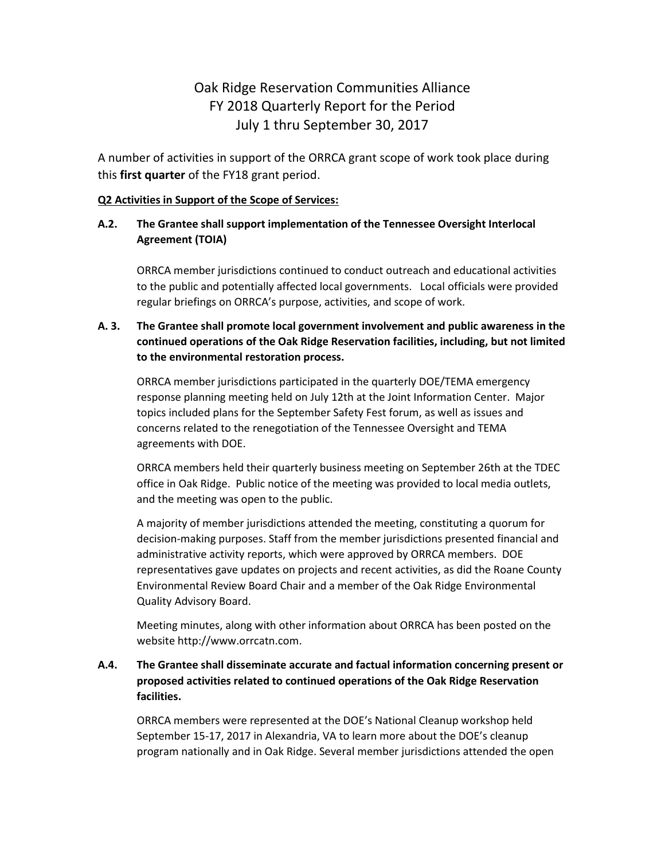# Oak Ridge Reservation Communities Alliance FY 2018 Quarterly Report for the Period July 1 thru September 30, 2017

A number of activities in support of the ORRCA grant scope of work took place during this **first quarter** of the FY18 grant period.

#### **Q2 Activities in Support of the Scope of Services:**

### **A.2. The Grantee shall support implementation of the Tennessee Oversight Interlocal Agreement (TOIA)**

ORRCA member jurisdictions continued to conduct outreach and educational activities to the public and potentially affected local governments. Local officials were provided regular briefings on ORRCA's purpose, activities, and scope of work.

## **A. 3. The Grantee shall promote local government involvement and public awareness in the continued operations of the Oak Ridge Reservation facilities, including, but not limited to the environmental restoration process.**

ORRCA member jurisdictions participated in the quarterly DOE/TEMA emergency response planning meeting held on July 12th at the Joint Information Center. Major topics included plans for the September Safety Fest forum, as well as issues and concerns related to the renegotiation of the Tennessee Oversight and TEMA agreements with DOE.

ORRCA members held their quarterly business meeting on September 26th at the TDEC office in Oak Ridge. Public notice of the meeting was provided to local media outlets, and the meeting was open to the public.

A majority of member jurisdictions attended the meeting, constituting a quorum for decision-making purposes. Staff from the member jurisdictions presented financial and administrative activity reports, which were approved by ORRCA members. DOE representatives gave updates on projects and recent activities, as did the Roane County Environmental Review Board Chair and a member of the Oak Ridge Environmental Quality Advisory Board.

Meeting minutes, along with other information about ORRCA has been posted on the website http://www.orrcatn.com.

## **A.4. The Grantee shall disseminate accurate and factual information concerning present or proposed activities related to continued operations of the Oak Ridge Reservation facilities.**

ORRCA members were represented at the DOE's National Cleanup workshop held September 15-17, 2017 in Alexandria, VA to learn more about the DOE's cleanup program nationally and in Oak Ridge. Several member jurisdictions attended the open